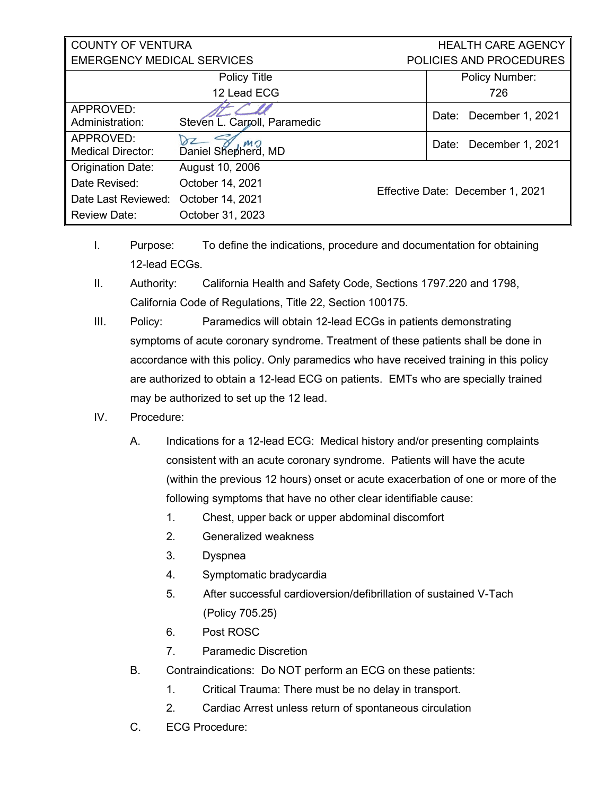| <b>COUNTY OF VENTURA</b>              |                              |  | <b>HEALTH CARE AGENCY</b>        |  |
|---------------------------------------|------------------------------|--|----------------------------------|--|
| <b>EMERGENCY MEDICAL SERVICES</b>     |                              |  | POLICIES AND PROCEDURES          |  |
|                                       | Policy Title                 |  | <b>Policy Number:</b>            |  |
|                                       | 12 Lead ECG                  |  | 726                              |  |
| APPROVED:<br>Administration:          | Steven L. Carroll, Paramedic |  | December 1, 2021<br>Date:        |  |
| APPROVED:<br><b>Medical Director:</b> | MO<br>Daniel Shepherd, MD    |  | Date: December 1, 2021           |  |
| <b>Origination Date:</b>              | August 10, 2006              |  | Effective Date: December 1, 2021 |  |
| Date Revised:                         | October 14, 2021             |  |                                  |  |
| Date Last Reviewed:                   | October 14, 2021             |  |                                  |  |
| <b>Review Date:</b>                   | October 31, 2023             |  |                                  |  |

- I. Purpose: To define the indications, procedure and documentation for obtaining 12-lead ECGs.
- II. Authority: California Health and Safety Code, Sections 1797.220 and 1798, California Code of Regulations, Title 22, Section 100175.
- III. Policy: Paramedics will obtain 12-lead ECGs in patients demonstrating symptoms of acute coronary syndrome. Treatment of these patients shall be done in accordance with this policy. Only paramedics who have received training in this policy are authorized to obtain a 12-lead ECG on patients. EMTs who are specially trained may be authorized to set up the 12 lead.
- IV. Procedure:
	- A. Indications for a 12-lead ECG: Medical history and/or presenting complaints consistent with an acute coronary syndrome. Patients will have the acute (within the previous 12 hours) onset or acute exacerbation of one or more of the following symptoms that have no other clear identifiable cause:
		- 1. Chest, upper back or upper abdominal discomfort
		- 2. Generalized weakness
		- 3. Dyspnea
		- 4. Symptomatic bradycardia
		- 5. After successful cardioversion/defibrillation of sustained V-Tach (Policy 705.25)
		- 6. Post ROSC
		- 7. Paramedic Discretion
	- B. Contraindications: Do NOT perform an ECG on these patients:
		- 1. Critical Trauma: There must be no delay in transport.
		- 2. Cardiac Arrest unless return of spontaneous circulation
	- C. ECG Procedure: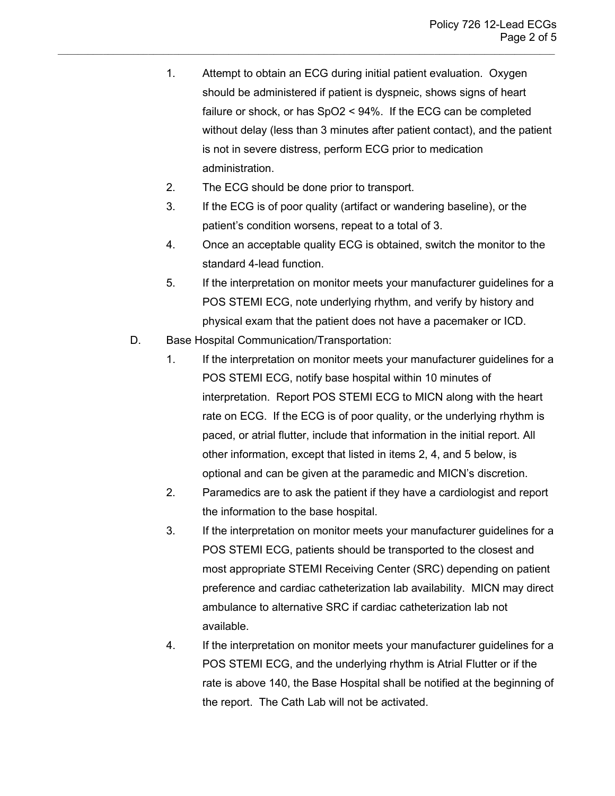- 1. Attempt to obtain an ECG during initial patient evaluation. Oxygen should be administered if patient is dyspneic, shows signs of heart failure or shock, or has SpO2 < 94%. If the ECG can be completed without delay (less than 3 minutes after patient contact), and the patient is not in severe distress, perform ECG prior to medication administration.
- 2. The ECG should be done prior to transport.

- 3. If the ECG is of poor quality (artifact or wandering baseline), or the patient's condition worsens, repeat to a total of 3.
- 4. Once an acceptable quality ECG is obtained, switch the monitor to the standard 4-lead function.
- 5. If the interpretation on monitor meets your manufacturer guidelines for a POS STEMI ECG, note underlying rhythm, and verify by history and physical exam that the patient does not have a pacemaker or ICD.
- D. Base Hospital Communication/Transportation:
	- 1. If the interpretation on monitor meets your manufacturer guidelines for a POS STEMI ECG, notify base hospital within 10 minutes of interpretation. Report POS STEMI ECG to MICN along with the heart rate on ECG. If the ECG is of poor quality, or the underlying rhythm is paced, or atrial flutter, include that information in the initial report. All other information, except that listed in items 2, 4, and 5 below, is optional and can be given at the paramedic and MICN's discretion.
	- 2. Paramedics are to ask the patient if they have a cardiologist and report the information to the base hospital.
	- 3. If the interpretation on monitor meets your manufacturer guidelines for a POS STEMI ECG, patients should be transported to the closest and most appropriate STEMI Receiving Center (SRC) depending on patient preference and cardiac catheterization lab availability. MICN may direct ambulance to alternative SRC if cardiac catheterization lab not available.
	- 4. If the interpretation on monitor meets your manufacturer guidelines for a POS STEMI ECG, and the underlying rhythm is Atrial Flutter or if the rate is above 140, the Base Hospital shall be notified at the beginning of the report. The Cath Lab will not be activated.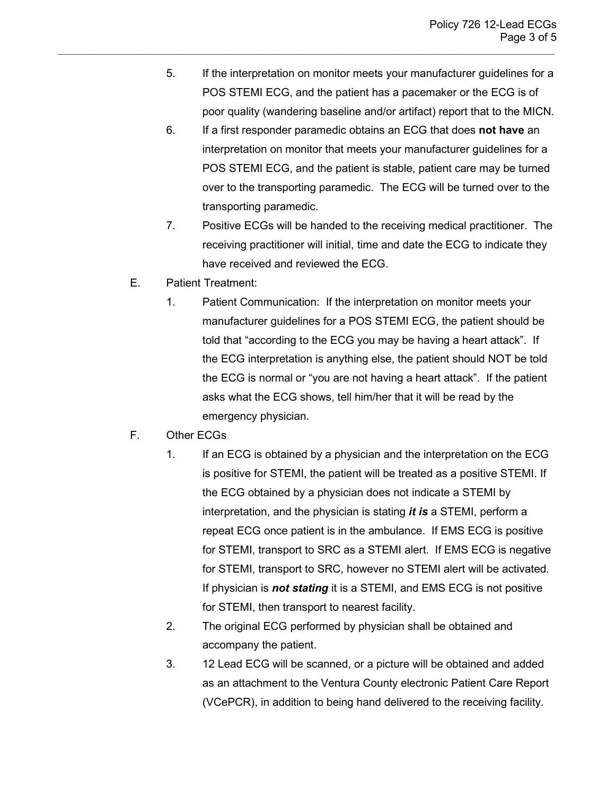5. If the interpretation on monitor meets your manufacturer guidelines for a POS STEMI ECG, and the patient has a pacemaker or the ECG is of poor quality (wandering baseline and/or artifact) report that to the MICN.

- 6. If a first responder paramedic obtains an ECG that does **not have** an interpretation on monitor that meets your manufacturer guidelines for a POS STEMI ECG, and the patient is stable, patient care may be turned over to the transporting paramedic. The ECG will be turned over to the transporting paramedic.
- 7. Positive ECGs will be handed to the receiving medical practitioner. The receiving practitioner will initial, time and date the ECG to indicate they have received and reviewed the ECG.
- E. Patient Treatment:
	- 1. Patient Communication: If the interpretation on monitor meets your manufacturer guidelines for a POS STEMI ECG, the patient should be told that "according to the ECG you may be having a heart attack". If the ECG interpretation is anything else, the patient should NOT be told the ECG is normal or "you are not having a heart attack". If the patient asks what the ECG shows, tell him/her that it will be read by the emergency physician.
- F. Other ECGs
	- 1. If an ECG is obtained by a physician and the interpretation on the ECG is positive for STEMI, the patient will be treated as a positive STEMI. If the ECG obtained by a physician does not indicate a STEMI by interpretation, and the physician is stating *it is* a STEMI, perform a repeat ECG once patient is in the ambulance. If EMS ECG is positive for STEMI, transport to SRC as a STEMI alert. If EMS ECG is negative for STEMI, transport to SRC, however no STEMI alert will be activated. If physician is *not stating* it is a STEMI, and EMS ECG is not positive for STEMI, then transport to nearest facility.
	- 2. The original ECG performed by physician shall be obtained and accompany the patient.
	- 3. 12 Lead ECG will be scanned, or a picture will be obtained and added as an attachment to the Ventura County electronic Patient Care Report (VCePCR), in addition to being hand delivered to the receiving facility.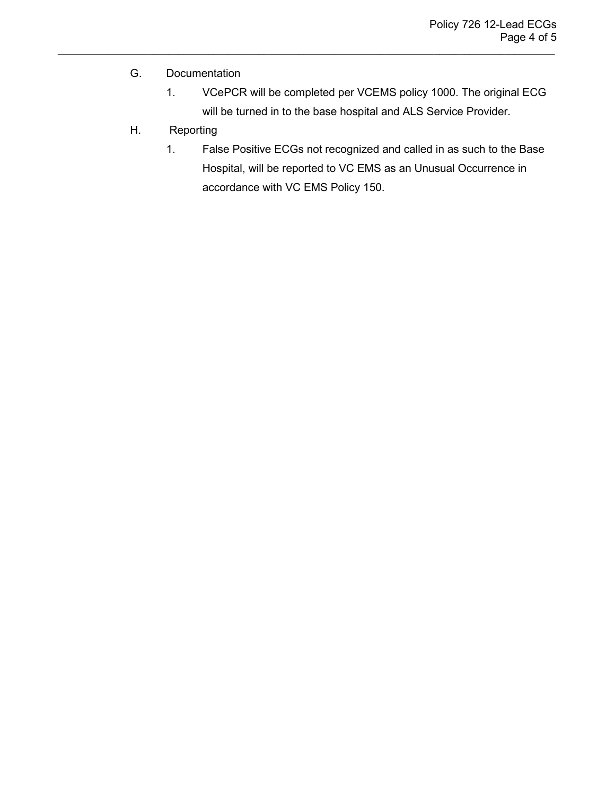## G. Documentation

1. VCePCR will be completed per VCEMS policy 1000. The original ECG will be turned in to the base hospital and ALS Service Provider.

- H. Reporting
	- 1. False Positive ECGs not recognized and called in as such to the Base Hospital, will be reported to VC EMS as an Unusual Occurrence in accordance with VC EMS Policy 150.